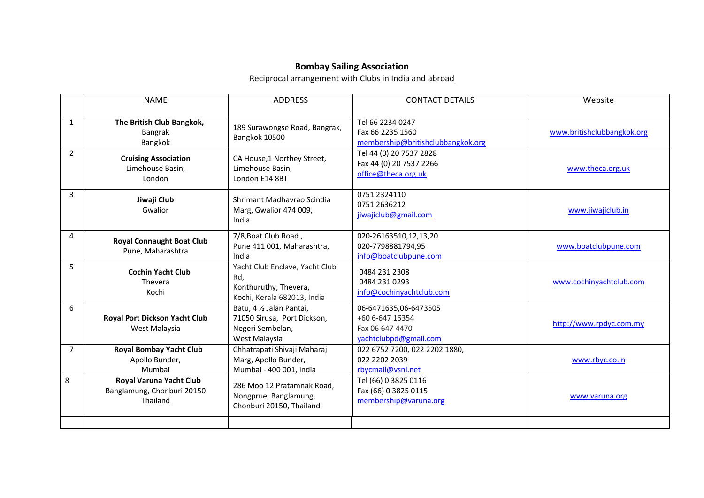## **Bombay Sailing Association**

## Reciprocal arrangement with Clubs in India and abroad

|                | <b>NAME</b>                                                       | <b>ADDRESS</b>                                                                                | <b>CONTACT DETAILS</b>                                                               | Website                    |
|----------------|-------------------------------------------------------------------|-----------------------------------------------------------------------------------------------|--------------------------------------------------------------------------------------|----------------------------|
| 1              | The British Club Bangkok,<br>Bangrak<br>Bangkok                   | 189 Surawongse Road, Bangrak,<br>Bangkok 10500                                                | Tel 66 2234 0247<br>Fax 66 2235 1560<br>membership@britishclubbangkok.org            | www.britishclubbangkok.org |
| $\overline{2}$ | <b>Cruising Association</b><br>Limehouse Basin,<br>London         | CA House, 1 Northey Street,<br>Limehouse Basin,<br>London E14 8BT                             | Tel 44 (0) 20 7537 2828<br>Fax 44 (0) 20 7537 2266<br>office@theca.org.uk            | www.theca.org.uk           |
| $\overline{3}$ | Jiwaji Club<br>Gwalior                                            | Shrimant Madhavrao Scindia<br>Marg, Gwalior 474 009,<br>India                                 | 0751 2324110<br>0751 2636212<br>jiwajiclub@gmail.com                                 | www.jiwajiclub.in          |
| 4              | <b>Royal Connaught Boat Club</b><br>Pune, Maharashtra             | 7/8, Boat Club Road,<br>Pune 411 001, Maharashtra,<br>India                                   | 020-26163510,12,13,20<br>020-7798881794,95<br>info@boatclubpune.com                  | www.boatclubpune.com       |
| 5              | <b>Cochin Yacht Club</b><br>Thevera<br>Kochi                      | Yacht Club Enclave, Yacht Club<br>Rd,<br>Konthuruthy, Thevera,<br>Kochi, Kerala 682013, India | 0484 231 2308<br>0484 231 0293<br>info@cochinyachtclub.com                           | www.cochinyachtclub.com    |
| 6              | Royal Port Dickson Yacht Club<br>West Malaysia                    | Batu, 4 1/2 Jalan Pantai,<br>71050 Sirusa, Port Dickson,<br>Negeri Sembelan,<br>West Malaysia | 06-6471635,06-6473505<br>+60 6-647 16354<br>Fax 06 647 4470<br>yachtclubpd@gmail.com | http://www.rpdyc.com.my    |
| $\overline{7}$ | <b>Royal Bombay Yacht Club</b><br>Apollo Bunder,<br>Mumbai        | Chhatrapati Shivaji Maharaj<br>Marg, Apollo Bunder,<br>Mumbai - 400 001, India                | 022 6752 7200, 022 2202 1880,<br>022 2202 2039<br>rbycmail@vsnl.net                  | www.rbyc.co.in             |
| 8              | Royal Varuna Yacht Club<br>Banglamung, Chonburi 20150<br>Thailand | 286 Moo 12 Pratamnak Road,<br>Nongprue, Banglamung,<br>Chonburi 20150, Thailand               | Tel (66) 0 3825 0116<br>Fax (66) 0 3825 0115<br>membership@varuna.org                | www.varuna.org             |
|                |                                                                   |                                                                                               |                                                                                      |                            |